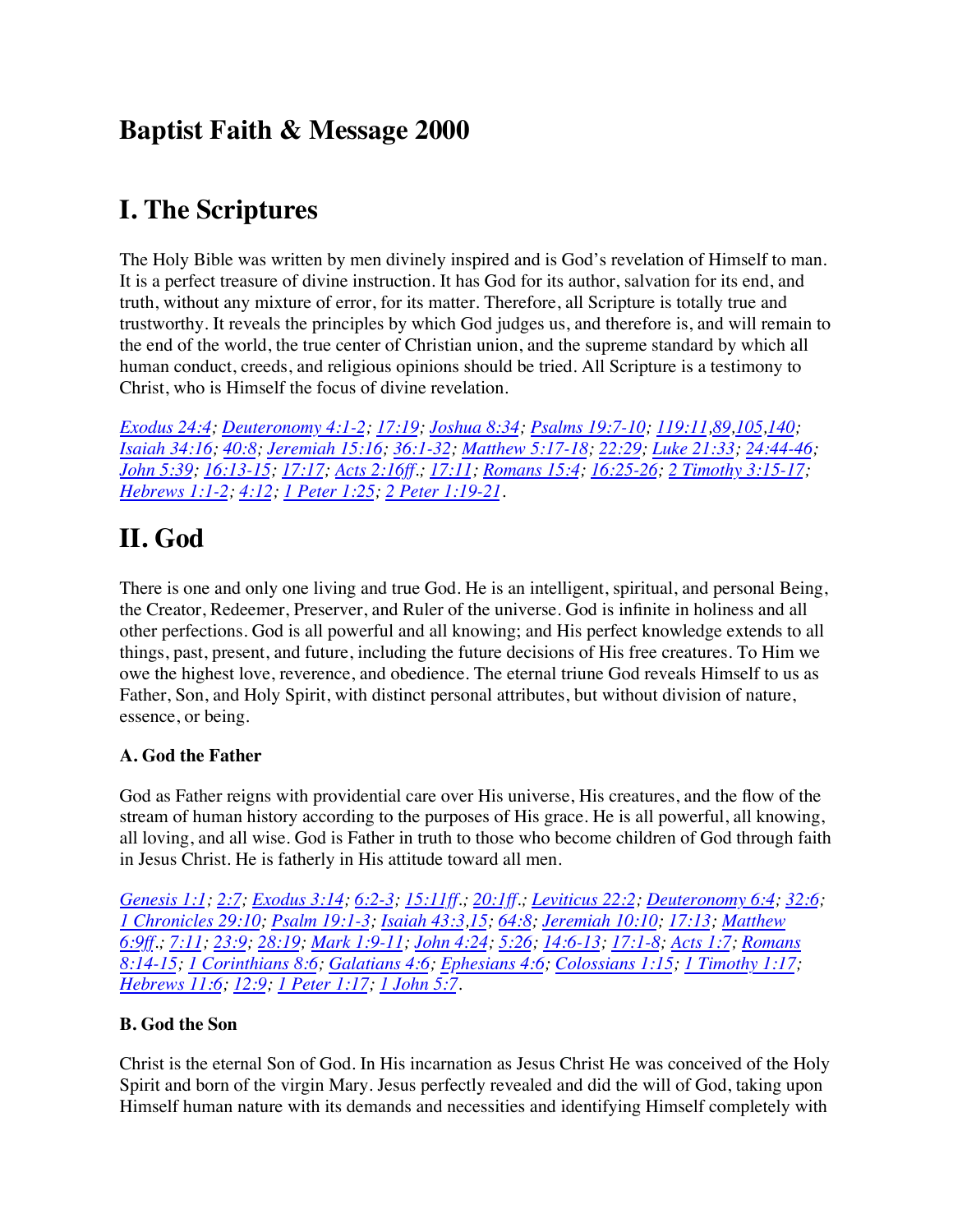### **Baptist Faith & Message 2000**

### **I. The Scriptures**

The Holy Bible was written by men divinely inspired and is God's revelation of Himself to man. It is a perfect treasure of divine instruction. It has God for its author, salvation for its end, and truth, without any mixture of error, for its matter. Therefore, all Scripture is totally true and trustworthy. It reveals the principles by which God judges us, and therefore is, and will remain to the end of the world, the true center of Christian union, and the supreme standard by which all human conduct, creeds, and religious opinions should be tried. All Scripture is a testimony to Christ, who is Himself the focus of divine revelation.

*[Exodus 24:4;](https://biblia.com/bible/csb/Exod%2024.4) [Deuteronomy 4:1-2](https://biblia.com/bible/csb/Deut%204.1-2); [17:19](https://biblia.com/bible/csb/Deuteronomy%2017.19); [Joshua 8:34](https://biblia.com/bible/csb/Josh%208.34); [Psalms 19:7-10;](https://biblia.com/bible/csb/Ps%2019.7-10) [119:11](https://biblia.com/bible/csb/Psalms%20119.11)[,89,](https://biblia.com/bible/csb/Psalms%20119.89)[105](https://biblia.com/bible/csb/Psalms%20119.105)[,140;](https://biblia.com/bible/csb/Psalms%20119.140) [Isaiah 34:16;](https://biblia.com/bible/csb/Isa%2034.16) [40:8](https://biblia.com/bible/csb/Isaiah%2040.8); [Jeremiah 15:16;](https://biblia.com/bible/csb/Jer%2015.16) [36:1-32;](https://biblia.com/bible/csb/Jeremiah%2036.1-32) [Matthew 5:17-18](https://biblia.com/bible/csb/Matt%205.17-18); [22:29](https://biblia.com/bible/csb/Matthew%2022.29); [Luke 21:33](https://biblia.com/bible/csb/Luke%2021.33); [24:44-46](https://biblia.com/bible/csb/Luke%2024.44-46); [John 5:39](https://biblia.com/bible/csb/John%205.39); [16:13-15](https://biblia.com/bible/csb/John%2016.13-15); [17:17](https://biblia.com/bible/csb/John%2017.17); [Acts 2:16ff](https://biblia.com/bible/csb/Acts%202.16ff).; [17:11;](https://biblia.com/bible/csb/Acts%2017.11) [Romans 15:4;](https://biblia.com/bible/csb/Rom%2015.4) [16:25-26;](https://biblia.com/bible/csb/Romans%2016.25-26) [2 Timothy 3:15-17](https://biblia.com/bible/csb/2%20Tim%203.15-17); [Hebrews 1:1-2](https://biblia.com/bible/csb/Heb%201.1-2); [4:12](https://biblia.com/bible/csb/Hebrews%204.12); [1 Peter 1:25](https://biblia.com/bible/csb/1%20Pet%201.25); [2 Peter 1:19-21](https://biblia.com/bible/csb/2%20Pet%201.19-21).*

### **II. God**

There is one and only one living and true God. He is an intelligent, spiritual, and personal Being, the Creator, Redeemer, Preserver, and Ruler of the universe. God is infinite in holiness and all other perfections. God is all powerful and all knowing; and His perfect knowledge extends to all things, past, present, and future, including the future decisions of His free creatures. To Him we owe the highest love, reverence, and obedience. The eternal triune God reveals Himself to us as Father, Son, and Holy Spirit, with distinct personal attributes, but without division of nature, essence, or being.

#### **A. God the Father**

God as Father reigns with providential care over His universe, His creatures, and the flow of the stream of human history according to the purposes of His grace. He is all powerful, all knowing, all loving, and all wise. God is Father in truth to those who become children of God through faith in Jesus Christ. He is fatherly in His attitude toward all men.

*[Genesis 1:1;](https://biblia.com/bible/csb/Gen%201.1) [2:7](https://biblia.com/bible/csb/Genesis%202.7); [Exodus 3:14](https://biblia.com/bible/csb/Exod%203.14); [6:2-3](https://biblia.com/bible/csb/Exodus%206.2-3); [15:11ff](https://biblia.com/bible/csb/Exodus%2015.11ff).; [20:1ff](https://biblia.com/bible/csb/Exodus%2020.1ff).; [Leviticus 22:2;](https://biblia.com/bible/csb/Lev%2022.2) [Deuteronomy 6:4](https://biblia.com/bible/csb/Deut%206.4); [32:6;](https://biblia.com/bible/csb/Deuteronomy%2032.6) [1 Chronicles 29:10;](https://biblia.com/bible/csb/1%20Chron%2029.10) [Psalm 19:1-3](https://biblia.com/bible/csb/Ps%2019.1-3); [Isaiah 43:3,](https://biblia.com/bible/csb/Isa%2043.3)[15](https://biblia.com/bible/csb/Isaiah%2043.15); [64:8;](https://biblia.com/bible/csb/Isaiah%2064.8) [Jeremiah 10:10;](https://biblia.com/bible/csb/Jer%2010.10) [17:13](https://biblia.com/bible/csb/Jeremiah%2017.13); [Matthew](https://biblia.com/bible/csb/Matt%206.9ff)*  [6:9ff](https://biblia.com/bible/csb/Matt%206.9ff)., [7:11](https://biblia.com/bible/csb/Matthew%207.11), 23:9, [28:19](https://biblia.com/bible/csb/Matthew%2028.19); [Mark 1:9-11;](https://biblia.com/bible/csb/Mark%201.9-11) [John 4:24;](https://biblia.com/bible/csb/John%204.24) [5:26](https://biblia.com/bible/csb/John%205.26); [14:6-13](https://biblia.com/bible/csb/John%2014.6-13); [17:1-8](https://biblia.com/bible/csb/John%2017.1-8); [Acts 1:7](https://biblia.com/bible/csb/Acts%201.7); Romans *[8:14-15](https://biblia.com/bible/csb/Rom%208.14-15); [1 Corinthians 8:6](https://biblia.com/bible/csb/1%20Cor%208.6); [Galatians 4:6](https://biblia.com/bible/csb/Gal%204.6); [Ephesians 4:6](https://biblia.com/bible/csb/Eph%204.6); [Colossians 1:15;](https://biblia.com/bible/csb/Col%201.15) [1 Timothy 1:17;](https://biblia.com/bible/csb/1%20Tim%201.17) [Hebrews 11:6](https://biblia.com/bible/csb/Heb%2011.6); [12:9;](https://biblia.com/bible/csb/Hebrews%2012.9) [1 Peter 1:17](https://biblia.com/bible/csb/1%20Pet%201.17); [1 John 5:7](https://biblia.com/bible/csb/1%20John%205.7).*

#### **B. God the Son**

Christ is the eternal Son of God. In His incarnation as Jesus Christ He was conceived of the Holy Spirit and born of the virgin Mary. Jesus perfectly revealed and did the will of God, taking upon Himself human nature with its demands and necessities and identifying Himself completely with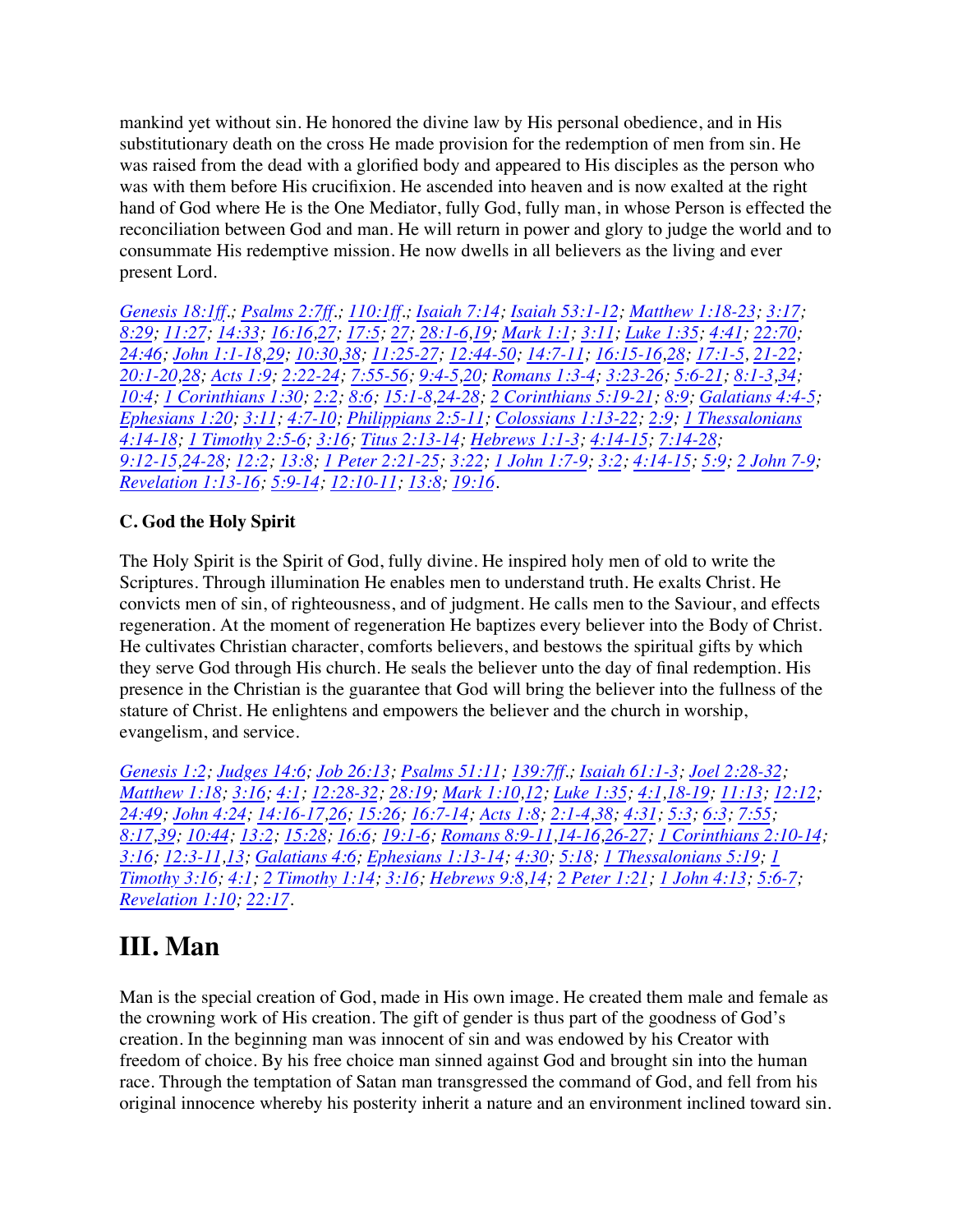mankind yet without sin. He honored the divine law by His personal obedience, and in His substitutionary death on the cross He made provision for the redemption of men from sin. He was raised from the dead with a glorified body and appeared to His disciples as the person who was with them before His crucifixion. He ascended into heaven and is now exalted at the right hand of God where He is the One Mediator, fully God, fully man, in whose Person is effected the reconciliation between God and man. He will return in power and glory to judge the world and to consummate His redemptive mission. He now dwells in all believers as the living and ever present Lord.

*[Genesis 18:1ff](https://biblia.com/bible/csb/Gen%2018.1ff).; [Psalms 2:7ff.](https://biblia.com/bible/csb/Ps%202.7ff); [110:1ff.](https://biblia.com/bible/csb/Psalms%20110.1ff); [Isaiah 7:14](https://biblia.com/bible/csb/Isa%207.14); [Isaiah 53:1-12;](https://biblia.com/bible/csb/Isa%2053.1-12) [Matthew 1:18-23;](https://biblia.com/bible/csb/Matt%201.18-23) [3:17](https://biblia.com/bible/csb/Matthew%203.17);*  8.29, 11:27, [14:33;](https://biblia.com/bible/csb/Matthew%2014.33) [16:16](https://biblia.com/bible/csb/Matthew%2016.16), 27, [17:5](https://biblia.com/bible/csb/Matthew%2017.5), 27, [28:1-6](https://biblia.com/bible/csb/Matthew%2028.1-6), 19, Mark 1:1, [3:11](https://biblia.com/bible/csb/Mark%203.11), [Luke 1:35](https://biblia.com/bible/csb/Luke%201.35), 4:41, 22:70, [24:46](https://biblia.com/bible/csb/Luke%2024.46), [John 1:1-18](https://biblia.com/bible/csb/John%201.1-18),29, [10:30](https://biblia.com/bible/csb/John%2010.30),38, 11:25-27, 12:44-50, 14:7-11, [16:15-16,](https://biblia.com/bible/csb/John%2016.15-16)[28](https://biblia.com/bible/csb/John%2016.28), [17:1-5,](https://biblia.com/bible/csb/John%2017.1-5) 21-22, *[20:1-20](https://biblia.com/bible/csb/John%2020.1-20)[,28;](https://biblia.com/bible/csb/John%2020.28) [Acts 1:9](https://biblia.com/bible/csb/Acts%201.9); [2:22-24;](https://biblia.com/bible/csb/Acts%202.22-24) [7:55-56;](https://biblia.com/bible/csb/Acts%207.55-56) [9:4-5,](https://biblia.com/bible/csb/Acts%209.4-5)[20;](https://biblia.com/bible/csb/Acts%209.20) [Romans 1:3-4;](https://biblia.com/bible/csb/Rom%201.3-4) [3:23-26;](https://biblia.com/bible/csb/Romans%203.23-26) [5:6-21;](https://biblia.com/bible/csb/Romans%205.6-21) [8:1-3](https://biblia.com/bible/csb/Romans%208.1-3)[,34;](https://biblia.com/bible/csb/Romans%208.34) [10:4](https://biblia.com/bible/csb/Romans%2010.4); [1 Corinthians 1:30;](https://biblia.com/bible/csb/1%20Cor%201.30) [2:2](https://biblia.com/bible/csb/1%20Corinthians%202.2); [8:6;](https://biblia.com/bible/csb/1%20Corinthians%208.6) [15:1-8,](https://biblia.com/bible/csb/1%20Corinthians%2015.1-8)[24-28](https://biblia.com/bible/csb/1%20Corinthians%2015.24-28); [2 Corinthians 5:19-21](https://biblia.com/bible/csb/2%20Cor%205.19-21); [8:9;](https://biblia.com/bible/csb/2%20Corinthians%208.9) [Galatians 4:4-5](https://biblia.com/bible/csb/Gal%204.4-5); [Ephesians 1:20;](https://biblia.com/bible/csb/Eph%201.20) [3:11](https://biblia.com/bible/csb/Ephesians%203.11); [4:7-10](https://biblia.com/bible/csb/Ephesians%204.7-10); [Philippians 2:5-11;](https://biblia.com/bible/csb/Phil%202.5-11) [Colossians 1:13-22](https://biblia.com/bible/csb/Col%201.13-22); [2:9;](https://biblia.com/bible/csb/Colossians%202.9) [1 Thessalonians](https://biblia.com/bible/csb/1%20Thess%204.14-18)  [4:14-18](https://biblia.com/bible/csb/1%20Thess%204.14-18); [1 Timothy 2:5-6;](https://biblia.com/bible/csb/1%20Tim%202.5-6) [3:16](https://biblia.com/bible/csb/1%20Timothy%203.16); [Titus 2:13-14;](https://biblia.com/bible/csb/Titus%202.13-14) [Hebrews 1:1-3;](https://biblia.com/bible/csb/Heb%201.1-3) [4:14-15;](https://biblia.com/bible/csb/Hebrews%204.14-15) [7:14-28;](https://biblia.com/bible/csb/Hebrews%207.14-28)*  [9:12-15](https://biblia.com/bible/csb/Hebrews%209.12-15), 24-28; [12:2;](https://biblia.com/bible/csb/Hebrews%2012.2) [13:8](https://biblia.com/bible/csb/Hebrews%2013.8); [1 Peter 2:21-25](https://biblia.com/bible/csb/1%20Pet%202.21-25); [3:22;](https://biblia.com/bible/csb/1%20Peter%203.22) [1 John 1:7-9;](https://biblia.com/bible/csb/1%20John%201.7-9) [3:2](https://biblia.com/bible/csb/1%20John%203.2); [4:14-15](https://biblia.com/bible/csb/1%20John%204.14-15); [5:9;](https://biblia.com/bible/csb/1%20John%205.9) [2 John 7-9;](https://biblia.com/bible/csb/2%20John%207-9) *[Revelation 1:13-16](https://biblia.com/bible/csb/Rev%201.13-16); [5:9-14](https://biblia.com/bible/csb/Revelation%205.9-14); [12:10-11](https://biblia.com/bible/csb/Revelation%2012.10-11); [13:8;](https://biblia.com/bible/csb/Revelation%2013.8) [19:16](https://biblia.com/bible/csb/Revelation%2019.16).*

#### **C. God the Holy Spirit**

The Holy Spirit is the Spirit of God, fully divine. He inspired holy men of old to write the Scriptures. Through illumination He enables men to understand truth. He exalts Christ. He convicts men of sin, of righteousness, and of judgment. He calls men to the Saviour, and effects regeneration. At the moment of regeneration He baptizes every believer into the Body of Christ. He cultivates Christian character, comforts believers, and bestows the spiritual gifts by which they serve God through His church. He seals the believer unto the day of final redemption. His presence in the Christian is the guarantee that God will bring the believer into the fullness of the stature of Christ. He enlightens and empowers the believer and the church in worship, evangelism, and service.

*[Genesis 1:2;](https://biblia.com/bible/csb/Gen%201.2) [Judges 14:6;](https://biblia.com/bible/csb/Judg%2014.6) [Job 26:13;](https://biblia.com/bible/csb/Job%2026.13) [Psalms 51:11;](https://biblia.com/bible/csb/Ps%2051.11) [139:7ff.](https://biblia.com/bible/csb/Psalms%20139.7ff); [Isaiah 61:1-3](https://biblia.com/bible/csb/Isa%2061.1-3); [Joel 2:28-32;](https://biblia.com/bible/csb/Joel%202.28-32)*  [Matthew 1:18](https://biblia.com/bible/csb/Matt%201.18), 3:16, [4:1](https://biblia.com/bible/csb/Matthew%204.1), [12:28-32](https://biblia.com/bible/csb/Matthew%2012.28-32), [28:19;](https://biblia.com/bible/csb/Matthew%2028.19) [Mark 1:10](https://biblia.com/bible/csb/Mark%201.10)[,12](https://biblia.com/bible/csb/Mark%201.12), [Luke 1:35](https://biblia.com/bible/csb/Luke%201.35); [4:1,](https://biblia.com/bible/csb/Luke%204.1)[18-19](https://biblia.com/bible/csb/Luke%204.18-19); [11:13](https://biblia.com/bible/csb/Luke%2011.13); [12:12;](https://biblia.com/bible/csb/Luke%2012.12) [24:49](https://biblia.com/bible/csb/Luke%2024.49); [John 4:24](https://biblia.com/bible/csb/John%204.24); [14:16-17](https://biblia.com/bible/csb/John%2014.16-17)[,26](https://biblia.com/bible/csb/John%2014.26); [15:26](https://biblia.com/bible/csb/John%2015.26); [16:7-14](https://biblia.com/bible/csb/John%2016.7-14); [Acts 1:8](https://biblia.com/bible/csb/Acts%201.8); [2:1-4](https://biblia.com/bible/csb/Acts%202.1-4)[,38](https://biblia.com/bible/csb/Acts%202.38); [4:31](https://biblia.com/bible/csb/Acts%204.31); [5:3;](https://biblia.com/bible/csb/Acts%205.3) [6:3](https://biblia.com/bible/csb/Acts%206.3); [7:55;](https://biblia.com/bible/csb/Acts%207.55) *[8:17](https://biblia.com/bible/csb/Acts%208.17)[,39](https://biblia.com/bible/csb/Acts%208.39); [10:44](https://biblia.com/bible/csb/Acts%2010.44); [13:2;](https://biblia.com/bible/csb/Acts%2013.2) [15:28](https://biblia.com/bible/csb/Acts%2015.28); [16:6](https://biblia.com/bible/csb/Acts%2016.6); [19:1-6;](https://biblia.com/bible/csb/Acts%2019.1-6) [Romans 8:9-11](https://biblia.com/bible/csb/Rom%208.9-11)[,14-16,](https://biblia.com/bible/csb/Romans%208.14-16)[26-27](https://biblia.com/bible/csb/Romans%208.26-27); [1 Corinthians 2:10-14](https://biblia.com/bible/csb/1%20Cor%202.10-14); [3:16](https://biblia.com/bible/csb/1%20Corinthians%203.16); [12:3-11](https://biblia.com/bible/csb/1%20Corinthians%2012.3-11)[,13](https://biblia.com/bible/csb/1%20Corinthians%2012.13); [Galatians 4:6;](https://biblia.com/bible/csb/Gal%204.6) [Ephesians 1:13-14](https://biblia.com/bible/csb/Eph%201.13-14); [4:30;](https://biblia.com/bible/csb/Ephesians%204.30) [5:18](https://biblia.com/bible/csb/Ephesians%205.18); [1 Thessalonians 5:19](https://biblia.com/bible/csb/1%20Thess%205.19); [1](https://biblia.com/bible/csb/1%20Tim%203.16)  [Timothy 3:16;](https://biblia.com/bible/csb/1%20Tim%203.16) [4:1](https://biblia.com/bible/csb/1%20Timothy%204.1); [2 Timothy 1:14](https://biblia.com/bible/csb/2%20Tim%201.14); [3:16](https://biblia.com/bible/csb/2%20Timothy%203.16); [Hebrews 9:8,](https://biblia.com/bible/csb/Heb%209.8)[14](https://biblia.com/bible/csb/Hebrews%209.14); [2 Peter 1:21;](https://biblia.com/bible/csb/2%20Pet%201.21) [1 John 4:13;](https://biblia.com/bible/csb/1%20John%204.13) [5:6-7](https://biblia.com/bible/csb/1%20John%205.6-7); [Revelation 1:10;](https://biblia.com/bible/csb/Rev%201.10) [22:17.](https://biblia.com/bible/csb/Revelation%2022.17)*

#### **III. Man**

Man is the special creation of God, made in His own image. He created them male and female as the crowning work of His creation. The gift of gender is thus part of the goodness of God's creation. In the beginning man was innocent of sin and was endowed by his Creator with freedom of choice. By his free choice man sinned against God and brought sin into the human race. Through the temptation of Satan man transgressed the command of God, and fell from his original innocence whereby his posterity inherit a nature and an environment inclined toward sin.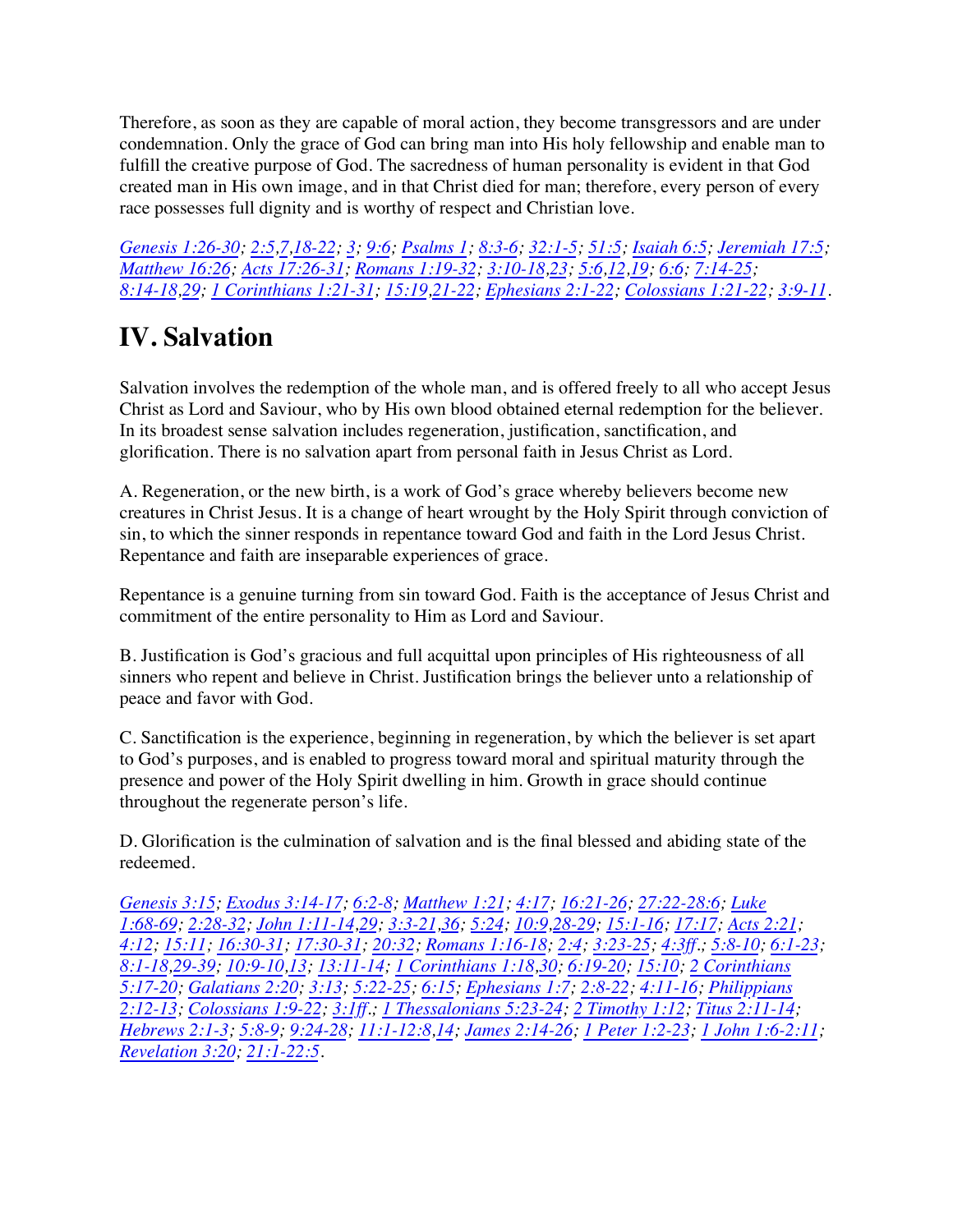Therefore, as soon as they are capable of moral action, they become transgressors and are under condemnation. Only the grace of God can bring man into His holy fellowship and enable man to fulfill the creative purpose of God. The sacredness of human personality is evident in that God created man in His own image, and in that Christ died for man; therefore, every person of every race possesses full dignity and is worthy of respect and Christian love.

[Genesis 1:26-30](https://biblia.com/bible/csb/Gen%201.26-30); [2:5,](https://biblia.com/bible/csb/Genesis%202.5)[7](https://biblia.com/bible/csb/Genesis%202.7)[,18-22;](https://biblia.com/bible/csb/Genesis%202.18-22) [3;](https://biblia.com/bible/csb/Genesis%202.3) [9:6](https://biblia.com/bible/csb/Genesis%209.6); [Psalms 1;](https://biblia.com/bible/csb/Ps%201) [8:3-6](https://biblia.com/bible/csb/Psalms%208.3-6); [32:1-5](https://biblia.com/bible/csb/Psalms%2032.1-5); [51:5;](https://biblia.com/bible/csb/Psalms%2051.5) [Isaiah 6:5](https://biblia.com/bible/csb/Isa%206.5); [Jeremiah 17:5](https://biblia.com/bible/csb/Jer%2017.5); *[Matthew 16:26](https://biblia.com/bible/csb/Matt%2016.26); [Acts 17:26-31](https://biblia.com/bible/csb/Acts%2017.26-31); [Romans 1:19-32](https://biblia.com/bible/csb/Rom%201.19-32); [3:10-18](https://biblia.com/bible/csb/Romans%203.10-18)[,23](https://biblia.com/bible/csb/Romans%203.23); [5:6,](https://biblia.com/bible/csb/Romans%205.6)[12](https://biblia.com/bible/csb/Romans%205.12)[,19;](https://biblia.com/bible/csb/Romans%205.19) [6:6](https://biblia.com/bible/csb/Romans%206.6); [7:14-25](https://biblia.com/bible/csb/Romans%207.14-25); [8:14-18](https://biblia.com/bible/csb/Romans%208.14-18)[,29;](https://biblia.com/bible/csb/Romans%208.29) [1 Corinthians 1:21-31;](https://biblia.com/bible/csb/1%20Cor%201.21-31) [15:19,](https://biblia.com/bible/csb/1%20Corinthians%2015.19)[21-22](https://biblia.com/bible/csb/1%20Corinthians%2015.21-22); [Ephesians 2:1-22;](https://biblia.com/bible/csb/Eph%202.1-22) [Colossians 1:21-22](https://biblia.com/bible/csb/Col%201.21-22); [3:9-11](https://biblia.com/bible/csb/Colossians%203.9-11).*

### **IV. Salvation**

Salvation involves the redemption of the whole man, and is offered freely to all who accept Jesus Christ as Lord and Saviour, who by His own blood obtained eternal redemption for the believer. In its broadest sense salvation includes regeneration, justification, sanctification, and glorification. There is no salvation apart from personal faith in Jesus Christ as Lord.

A. Regeneration, or the new birth, is a work of God's grace whereby believers become new creatures in Christ Jesus. It is a change of heart wrought by the Holy Spirit through conviction of sin, to which the sinner responds in repentance toward God and faith in the Lord Jesus Christ. Repentance and faith are inseparable experiences of grace.

Repentance is a genuine turning from sin toward God. Faith is the acceptance of Jesus Christ and commitment of the entire personality to Him as Lord and Saviour.

B. Justification is God's gracious and full acquittal upon principles of His righteousness of all sinners who repent and believe in Christ. Justification brings the believer unto a relationship of peace and favor with God.

C. Sanctification is the experience, beginning in regeneration, by which the believer is set apart to God's purposes, and is enabled to progress toward moral and spiritual maturity through the presence and power of the Holy Spirit dwelling in him. Growth in grace should continue throughout the regenerate person's life.

D. Glorification is the culmination of salvation and is the final blessed and abiding state of the redeemed.

*[Genesis 3:15;](https://biblia.com/bible/csb/Gen%203.15) [Exodus 3:14-17](https://biblia.com/bible/csb/Exod%203.14-17); [6:2-8](https://biblia.com/bible/csb/Exodus%206.2-8); [Matthew 1:21;](https://biblia.com/bible/csb/Matt%201.21) [4:17](https://biblia.com/bible/csb/Matthew%204.17); [16:21-26](https://biblia.com/bible/csb/Matthew%2016.21-26); [27:22-28:6;](https://biblia.com/bible/csb/Matthew%2027.22-28.6) [Luke](https://biblia.com/bible/csb/Luke%201.68-69)  [1:68-69](https://biblia.com/bible/csb/Luke%201.68-69); [2:28-32](https://biblia.com/bible/csb/Luke%202.28-32); [John 1:11-14,](https://biblia.com/bible/csb/John%201.11-14)[29;](https://biblia.com/bible/csb/John%201.29) [3:3-21,](https://biblia.com/bible/csb/John%203.3-21)[36;](https://biblia.com/bible/csb/John%203.36) [5:24;](https://biblia.com/bible/csb/John%205.24) [10:9](https://biblia.com/bible/csb/John%2010.9)[,28-29;](https://biblia.com/bible/csb/John%2010.28-29) [15:1-16;](https://biblia.com/bible/csb/John%2015.1-16) [17:17;](https://biblia.com/bible/csb/John%2017.17) [Acts 2:21](https://biblia.com/bible/csb/Acts%202.21);*   $\overline{4:12, 15:11, 16:30-31, 17:30-31, 20:32, Romas 1:16-18, 2:4, 3:23-25, 4:3ff, 5:8-10, 6:1-23,$  $\overline{4:12, 15:11, 16:30-31, 17:30-31, 20:32, Romas 1:16-18, 2:4, 3:23-25, 4:3ff, 5:8-10, 6:1-23,$  $\overline{4:12, 15:11, 16:30-31, 17:30-31, 20:32, Romas 1:16-18, 2:4, 3:23-25, 4:3ff, 5:8-10, 6:1-23,$  $\overline{4:12, 15:11, 16:30-31, 17:30-31, 20:32, Romas 1:16-18, 2:4, 3:23-25, 4:3ff, 5:8-10, 6:1-23,$  $\overline{4:12, 15:11, 16:30-31, 17:30-31, 20:32, Romas 1:16-18, 2:4, 3:23-25, 4:3ff, 5:8-10, 6:1-23,$  $\overline{4:12, 15:11, 16:30-31, 17:30-31, 20:32, Romas 1:16-18, 2:4, 3:23-25, 4:3ff, 5:8-10, 6:1-23,$  $\overline{4:12, 15:11, 16:30-31, 17:30-31, 20:32, Romas 1:16-18, 2:4, 3:23-25, 4:3ff, 5:8-10, 6:1-23,$  $\overline{4:12, 15:11, 16:30-31, 17:30-31, 20:32, Romas 1:16-18, 2:4, 3:23-25, 4:3ff, 5:8-10, 6:1-23,$  $\overline{4:12, 15:11, 16:30-31, 17:30-31, 20:32, Romas 1:16-18, 2:4, 3:23-25, 4:3ff, 5:8-10, 6:1-23,$  $\overline{4:12, 15:11, 16:30-31, 17:30-31, 20:32, Romas 1:16-18, 2:4, 3:23-25, 4:3ff, 5:8-10, 6:1-23,$  $\overline{4:12, 15:11, 16:30-31, 17:30-31, 20:32, Romas 1:16-18, 2:4, 3:23-25, 4:3ff, 5:8-10, 6:1-23,$ *[8:1-18](https://biblia.com/bible/csb/Romans%208.1-18)[,29-39;](https://biblia.com/bible/csb/Romans%208.29-39) [10:9-10,](https://biblia.com/bible/csb/Romans%2010.9-10)[13](https://biblia.com/bible/csb/Romans%2010.13); [13:11-14](https://biblia.com/bible/csb/Romans%2013.11-14); [1 Corinthians 1:18,](https://biblia.com/bible/csb/1%20Cor%201.18)[30](https://biblia.com/bible/csb/1%20Corinthians%201.30); [6:19-20](https://biblia.com/bible/csb/1%20Corinthians%206.19-20); [15:10](https://biblia.com/bible/csb/1%20Corinthians%2015.10); [2 Corinthians](https://biblia.com/bible/csb/2%20Cor%205.17-20)  [5:17-20](https://biblia.com/bible/csb/2%20Cor%205.17-20); [Galatians 2:20;](https://biblia.com/bible/csb/Gal%202.20) [3:13](https://biblia.com/bible/csb/Galatians%203.13); [5:22-25](https://biblia.com/bible/csb/Galatians%205.22-25); [6:15;](https://biblia.com/bible/csb/Galatians%206.15) [Ephesians 1:7](https://biblia.com/bible/csb/Eph%201.7); [2:8-22;](https://biblia.com/bible/csb/Ephesians%202.8-22) [4:11-16;](https://biblia.com/bible/csb/Ephesians%204.11-16) [Philippians](https://biblia.com/bible/csb/Phil%202.12-13)  [2:12-13](https://biblia.com/bible/csb/Phil%202.12-13); [Colossians 1:9-22;](https://biblia.com/bible/csb/Col%201.9-22) [3:1ff.](https://biblia.com/bible/csb/Colossians%203.1ff); [1 Thessalonians 5:23-24;](https://biblia.com/bible/csb/1%20Thess%205.23-24) [2 Timothy 1:12](https://biblia.com/bible/csb/2%20Tim%201.12); [Titus 2:11-14;](https://biblia.com/bible/csb/Titus%202.11-14) [Hebrews 2:1-3](https://biblia.com/bible/csb/Heb%202.1-3); [5:8-9](https://biblia.com/bible/csb/Hebrews%205.8-9); [9:24-28](https://biblia.com/bible/csb/Hebrews%209.24-28); [11:1-12:8](https://biblia.com/bible/csb/Hebrews%2011.1-12.8)[,14;](https://biblia.com/bible/csb/Hebrews%2011.14) [James 2:14-26](https://biblia.com/bible/csb/James%202.14-26); [1 Peter 1:2-23;](https://biblia.com/bible/csb/1%20Pet%201.2-23) [1 John 1:6-2:11](https://biblia.com/bible/csb/1%20John%201.6-2.11); [Revelation 3:20;](https://biblia.com/bible/csb/Rev%203.20) [21:1-22:5](https://biblia.com/bible/csb/Revelation%2021.1-22.5).*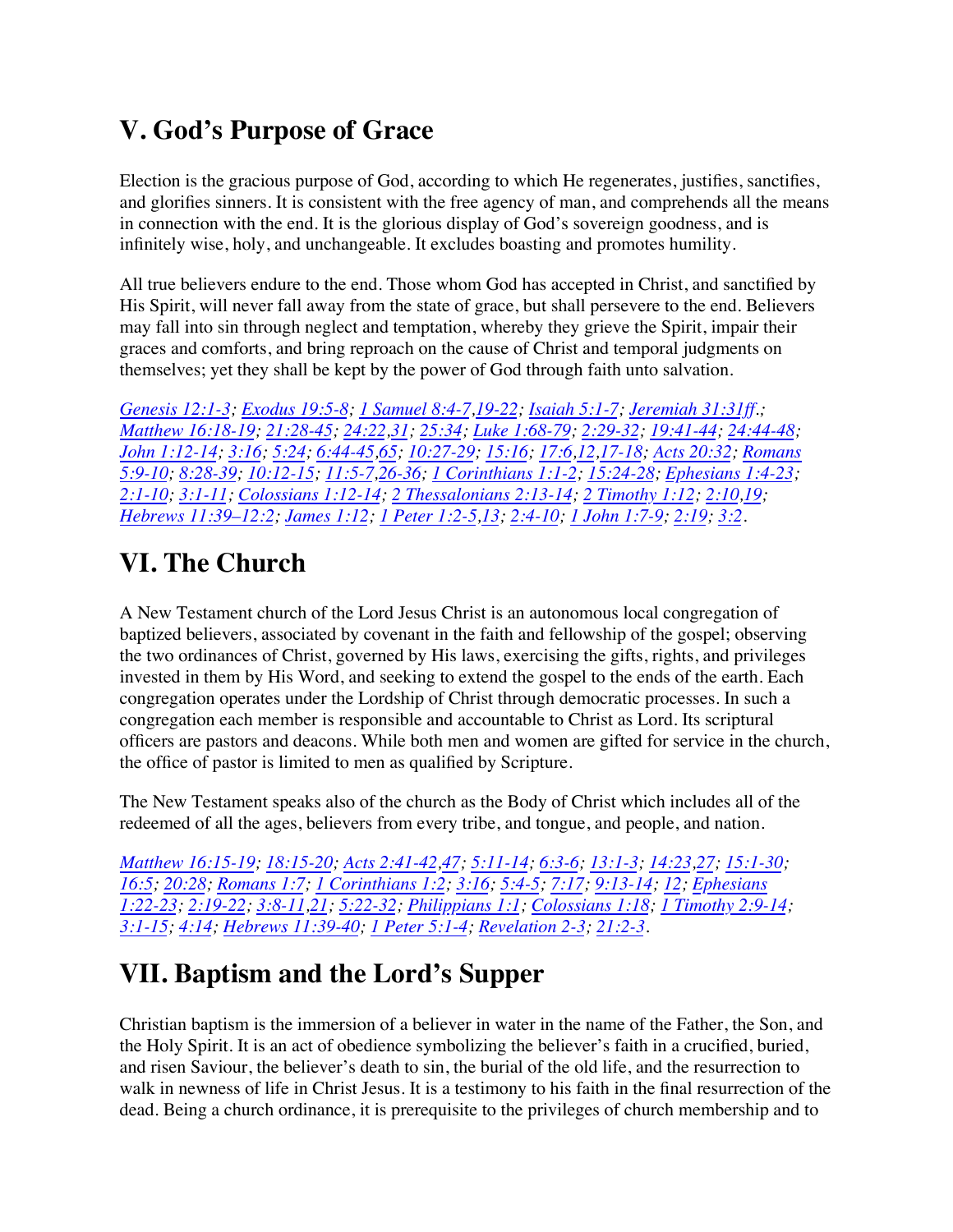### **V. God's Purpose of Grace**

Election is the gracious purpose of God, according to which He regenerates, justifies, sanctifies, and glorifies sinners. It is consistent with the free agency of man, and comprehends all the means in connection with the end. It is the glorious display of God's sovereign goodness, and is infinitely wise, holy, and unchangeable. It excludes boasting and promotes humility.

All true believers endure to the end. Those whom God has accepted in Christ, and sanctified by His Spirit, will never fall away from the state of grace, but shall persevere to the end. Believers may fall into sin through neglect and temptation, whereby they grieve the Spirit, impair their graces and comforts, and bring reproach on the cause of Christ and temporal judgments on themselves; yet they shall be kept by the power of God through faith unto salvation.

*[Genesis 12:1-3](https://biblia.com/bible/csb/Gen%2012.1-3); [Exodus 19:5-8](https://biblia.com/bible/csb/Exod%2019.5-8); [1 Samuel 8:4-7,](https://biblia.com/bible/csb/1%20Sam%208.4-7)[19-22](https://biblia.com/bible/csb/1%20Samuel%208.19-22); [Isaiah 5:1-7;](https://biblia.com/bible/csb/Isa%205.1-7) [Jeremiah 31:31ff](https://biblia.com/bible/csb/Jer%2031.31ff).; [Matthew 16:18-19](https://biblia.com/bible/csb/Matt%2016.18-19); [21:28-45;](https://biblia.com/bible/csb/Matthew%2021.28-45) [24:22](https://biblia.com/bible/csb/Matthew%2024.22)[,31;](https://biblia.com/bible/csb/Matthew%2024.31) [25:34](https://biblia.com/bible/csb/Matthew%2025.34); [Luke 1:68-79;](https://biblia.com/bible/csb/Luke%201.68-79) [2:29-32](https://biblia.com/bible/csb/Luke%202.29-32); [19:41-44;](https://biblia.com/bible/csb/Luke%2019.41-44) [24:44-48;](https://biblia.com/bible/csb/Luke%2024.44-48) [John 1:12-14;](https://biblia.com/bible/csb/John%201.12-14) [3:16](https://biblia.com/bible/csb/John%203.16); [5:24;](https://biblia.com/bible/csb/John%205.24) [6:44-45,](https://biblia.com/bible/csb/John%206.44-45)[65](https://biblia.com/bible/csb/John%206.65); [10:27-29](https://biblia.com/bible/csb/John%2010.27-29); [15:16;](https://biblia.com/bible/csb/John%2015.16) [17:6,](https://biblia.com/bible/csb/John%2017.6)[12,](https://biblia.com/bible/csb/John%2017.12)[17-18;](https://biblia.com/bible/csb/John%2017.17-18) [Acts 20:32](https://biblia.com/bible/csb/Acts%2020.32); [Romans](https://biblia.com/bible/csb/Rom%205.9-10)  [5:9-10](https://biblia.com/bible/csb/Rom%205.9-10); [8:28-39](https://biblia.com/bible/csb/Romans%208.28-39); [10:12-15](https://biblia.com/bible/csb/Romans%2010.12-15); [11:5-7](https://biblia.com/bible/csb/Romans%2011.5-7)[,26-36;](https://biblia.com/bible/csb/Romans%2011.26-36) [1 Corinthians 1:1-2;](https://biblia.com/bible/csb/1%20Cor%201.1-2) [15:24-28;](https://biblia.com/bible/csb/1%20Corinthians%2015.24-28) [Ephesians 1:4-23](https://biblia.com/bible/csb/Eph%201.4-23); [2:1-10](https://biblia.com/bible/csb/Ephesians%202.1-10); [3:1-11](https://biblia.com/bible/csb/Ephesians%203.1-11); [Colossians 1:12-14;](https://biblia.com/bible/csb/Col%201.12-14) [2 Thessalonians 2:13-14;](https://biblia.com/bible/csb/2%20Thess%202.13-14) [2 Timothy 1:12;](https://biblia.com/bible/csb/2%20Tim%201.12) [2:10](https://biblia.com/bible/csb/2%20Timothy%202.10),[19;](https://biblia.com/bible/csb/2%20Timothy%202.19) [Hebrews 11:39–12:2](https://biblia.com/bible/csb/Heb%2011.39%E2%80%9312.2); [James 1:12](https://biblia.com/bible/csb/James%201.12); [1 Peter 1:2-5,](https://biblia.com/bible/csb/1%20Pet%201.2-5)[13](https://biblia.com/bible/csb/1%20Peter%201.13); [2:4-10](https://biblia.com/bible/csb/1%20Peter%202.4-10); [1 John 1:7-9](https://biblia.com/bible/csb/1%20John%201.7-9); [2:19;](https://biblia.com/bible/csb/1%20John%202.19) [3:2](https://biblia.com/bible/csb/1%20John%203.2).*

## **VI. The Church**

A New Testament church of the Lord Jesus Christ is an autonomous local congregation of baptized believers, associated by covenant in the faith and fellowship of the gospel; observing the two ordinances of Christ, governed by His laws, exercising the gifts, rights, and privileges invested in them by His Word, and seeking to extend the gospel to the ends of the earth. Each congregation operates under the Lordship of Christ through democratic processes. In such a congregation each member is responsible and accountable to Christ as Lord. Its scriptural officers are pastors and deacons. While both men and women are gifted for service in the church, the office of pastor is limited to men as qualified by Scripture.

The New Testament speaks also of the church as the Body of Christ which includes all of the redeemed of all the ages, believers from every tribe, and tongue, and people, and nation.

*[Matthew 16:15-19](https://biblia.com/bible/csb/Matt%2016.15-19); [18:15-20;](https://biblia.com/bible/csb/Matthew%2018.15-20) [Acts 2:41-42](https://biblia.com/bible/csb/Acts%202.41-42)[,47;](https://biblia.com/bible/csb/Acts%202.47) [5:11-14;](https://biblia.com/bible/csb/Acts%205.11-14) [6:3-6](https://biblia.com/bible/csb/Acts%206.3-6); [13:1-3](https://biblia.com/bible/csb/Acts%2013.1-3); [14:23,](https://biblia.com/bible/csb/Acts%2014.23)[27](https://biblia.com/bible/csb/Acts%2014.27); [15:1-30](https://biblia.com/bible/csb/Acts%2015.1-30); [16:5](https://biblia.com/bible/csb/Acts%2016.5); [20:28;](https://biblia.com/bible/csb/Acts%2020.28) [Romans 1:7;](https://biblia.com/bible/csb/Rom%201.7) [1 Corinthians 1:2](https://biblia.com/bible/csb/1%20Cor%201.2); [3:16;](https://biblia.com/bible/csb/1%20Corinthians%203.16) [5:4-5](https://biblia.com/bible/csb/1%20Corinthians%205.4-5); [7:17](https://biblia.com/bible/csb/1%20Corinthians%207.17); [9:13-14;](https://biblia.com/bible/csb/1%20Corinthians%209.13-14) [12](https://biblia.com/bible/csb/1%20Corinthians%209.12); [Ephesians](https://biblia.com/bible/csb/Eph%201.22-23)  [1:22-23](https://biblia.com/bible/csb/Eph%201.22-23); [2:19-22](https://biblia.com/bible/csb/Ephesians%202.19-22); [3:8-11](https://biblia.com/bible/csb/Ephesians%203.8-11)[,21;](https://biblia.com/bible/csb/Ephesians%203.21) [5:22-32](https://biblia.com/bible/csb/Ephesians%205.22-32); [Philippians 1:1;](https://biblia.com/bible/csb/Phil%201.1) [Colossians 1:18;](https://biblia.com/bible/csb/Col%201.18) [1 Timothy 2:9-14](https://biblia.com/bible/csb/1%20Tim%202.9-14); [3:1-15](https://biblia.com/bible/csb/1%20Timothy%203.1-15); [4:14;](https://biblia.com/bible/csb/1%20Timothy%204.14) [Hebrews 11:39-40](https://biblia.com/bible/csb/Heb%2011.39-40); [1 Peter 5:1-4;](https://biblia.com/bible/csb/1%20Pet%205.1-4) [Revelation 2-3](https://biblia.com/bible/csb/Rev%202-3); [21:2-3.](https://biblia.com/bible/csb/Revelation%2021.2-3)*

# **VII. Baptism and the Lord's Supper**

Christian baptism is the immersion of a believer in water in the name of the Father, the Son, and the Holy Spirit. It is an act of obedience symbolizing the believer's faith in a crucified, buried, and risen Saviour, the believer's death to sin, the burial of the old life, and the resurrection to walk in newness of life in Christ Jesus. It is a testimony to his faith in the final resurrection of the dead. Being a church ordinance, it is prerequisite to the privileges of church membership and to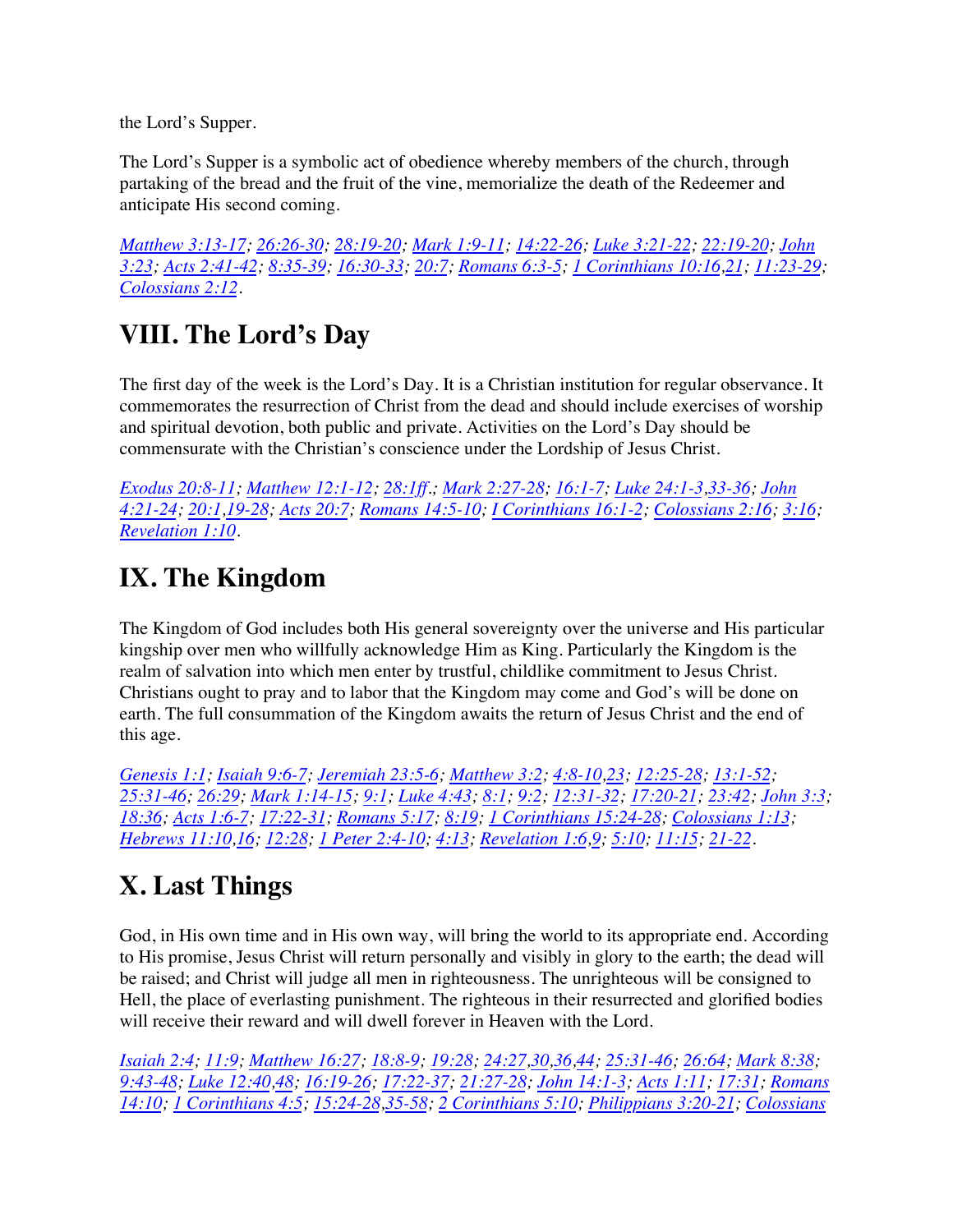the Lord's Supper.

The Lord's Supper is a symbolic act of obedience whereby members of the church, through partaking of the bread and the fruit of the vine, memorialize the death of the Redeemer and anticipate His second coming.

*[Matthew 3:13-17](https://biblia.com/bible/csb/Matt%203.13-17); [26:26-30](https://biblia.com/bible/csb/Matthew%2026.26-30); [28:19-20;](https://biblia.com/bible/csb/Matthew%2028.19-20) [Mark 1:9-11;](https://biblia.com/bible/csb/Mark%201.9-11) [14:22-26](https://biblia.com/bible/csb/Mark%2014.22-26); [Luke 3:21-22](https://biblia.com/bible/csb/Luke%203.21-22); [22:19-20](https://biblia.com/bible/csb/Luke%2022.19-20); [John](https://biblia.com/bible/csb/John%203.23)  [3:23](https://biblia.com/bible/csb/John%203.23); [Acts 2:41-42;](https://biblia.com/bible/csb/Acts%202.41-42) [8:35-39;](https://biblia.com/bible/csb/Acts%208.35-39) [16:30-33;](https://biblia.com/bible/csb/Acts%2016.30-33) [20:7;](https://biblia.com/bible/csb/Acts%2020.7) [Romans 6:3-5](https://biblia.com/bible/csb/Rom%206.3-5); [1 Corinthians 10:16](https://biblia.com/bible/csb/1%20Cor%2010.16)[,21;](https://biblia.com/bible/csb/1%20Corinthians%2010.21) [11:23-29;](https://biblia.com/bible/csb/1%20Corinthians%2011.23-29) [Colossians 2:12.](https://biblia.com/bible/csb/Col%202.12)*

# **VIII. The Lord's Day**

The first day of the week is the Lord's Day. It is a Christian institution for regular observance. It commemorates the resurrection of Christ from the dead and should include exercises of worship and spiritual devotion, both public and private. Activities on the Lord's Day should be commensurate with the Christian's conscience under the Lordship of Jesus Christ.

*[Exodus 20:8-11;](https://biblia.com/bible/csb/Exod%2020.8-11) [Matthew 12:1-12;](https://biblia.com/bible/csb/Matt%2012.1-12) [28:1ff.](https://biblia.com/bible/csb/Matthew%2028.1ff); [Mark 2:27-28](https://biblia.com/bible/csb/Mark%202.27-28); [16:1-7](https://biblia.com/bible/csb/Mark%2016.1-7); [Luke 24:1-3](https://biblia.com/bible/csb/Luke%2024.1-3)[,33-36](https://biblia.com/bible/csb/Luke%2024.33-36); [John](https://biblia.com/bible/csb/John%204.21-24)  [4:21-24](https://biblia.com/bible/csb/John%204.21-24); [20:1](https://biblia.com/bible/csb/John%2020.1)[,19-28;](https://biblia.com/bible/csb/John%2020.19-28) [Acts 20:7](https://biblia.com/bible/csb/Acts%2020.7); [Romans 14:5-10](https://biblia.com/bible/csb/Rom%2014.5-10); [I Corinthians 16:1-2](https://biblia.com/bible/csb/1%20Cor%2016.1-2); [Colossians 2:16](https://biblia.com/bible/csb/Col%202.16); [3:16;](https://biblia.com/bible/csb/Colossians%203.16) [Revelation 1:10.](https://biblia.com/bible/csb/Rev%201.10)*

## **IX. The Kingdom**

The Kingdom of God includes both His general sovereignty over the universe and His particular kingship over men who willfully acknowledge Him as King. Particularly the Kingdom is the realm of salvation into which men enter by trustful, childlike commitment to Jesus Christ. Christians ought to pray and to labor that the Kingdom may come and God's will be done on earth. The full consummation of the Kingdom awaits the return of Jesus Christ and the end of this age.

*[Genesis 1:1;](https://biblia.com/bible/csb/Gen%201.1) [Isaiah 9:6-7](https://biblia.com/bible/csb/Isa%209.6-7); [Jeremiah 23:5-6](https://biblia.com/bible/csb/Jer%2023.5-6); [Matthew 3:2;](https://biblia.com/bible/csb/Matt%203.2) [4:8-10,](https://biblia.com/bible/csb/Matthew%204.8-10)[23;](https://biblia.com/bible/csb/Matthew%204.23) [12:25-28](https://biblia.com/bible/csb/Matthew%2012.25-28); [13:1-52;](https://biblia.com/bible/csb/Matthew%2013.1-52)*  [25:31-46;](https://biblia.com/bible/csb/Matthew%2025.31-46) [26:29](https://biblia.com/bible/csb/Matthew%2026.29); [Mark 1:14-15;](https://biblia.com/bible/csb/Mark%201.14-15) [9:1](https://biblia.com/bible/csb/Mark%209.1); [Luke 4:43](https://biblia.com/bible/csb/Luke%204.43); [8:1;](https://biblia.com/bible/csb/Luke%208.1) [9:2](https://biblia.com/bible/csb/Luke%209.2); [12:31-32](https://biblia.com/bible/csb/Luke%2012.31-32); [17:20-21](https://biblia.com/bible/csb/Luke%2017.20-21); [23:42](https://biblia.com/bible/csb/Luke%2023.42); [John 3:3;](https://biblia.com/bible/csb/John%203.3) *[18:36](https://biblia.com/bible/csb/John%2018.36); [Acts 1:6-7;](https://biblia.com/bible/csb/Acts%201.6-7) [17:22-31;](https://biblia.com/bible/csb/Acts%2017.22-31) [Romans 5:17;](https://biblia.com/bible/csb/Rom%205.17) [8:19](https://biblia.com/bible/csb/Romans%208.19); [1 Corinthians 15:24-28](https://biblia.com/bible/csb/1%20Cor%2015.24-28); [Colossians 1:13;](https://biblia.com/bible/csb/Col%201.13) [Hebrews 11:10](https://biblia.com/bible/csb/Heb%2011.10),[16;](https://biblia.com/bible/csb/Hebrews%2011.16) [12:28;](https://biblia.com/bible/csb/Hebrews%2012.28) [1 Peter 2:4-10](https://biblia.com/bible/csb/1%20Pet%202.4-10); [4:13;](https://biblia.com/bible/csb/1%20Peter%204.13) [Revelation 1:6](https://biblia.com/bible/csb/Rev%201.6)[,9](https://biblia.com/bible/csb/Revelation%201.9); [5:10;](https://biblia.com/bible/csb/Revelation%205.10) [11:15;](https://biblia.com/bible/csb/Revelation%2011.15) [21-22](https://biblia.com/bible/csb/Revelation%2011.21-22).*

## **X. Last Things**

God, in His own time and in His own way, will bring the world to its appropriate end. According to His promise, Jesus Christ will return personally and visibly in glory to the earth; the dead will be raised; and Christ will judge all men in righteousness. The unrighteous will be consigned to Hell, the place of everlasting punishment. The righteous in their resurrected and glorified bodies will receive their reward and will dwell forever in Heaven with the Lord.

[Isaiah 2:4;](https://biblia.com/bible/csb/Isa%202.4) [11:9](https://biblia.com/bible/csb/Isaiah%2011.9); [Matthew 16:27;](https://biblia.com/bible/csb/Matt%2016.27) [18:8-9;](https://biblia.com/bible/csb/Matthew%2018.8-9) [19:28;](https://biblia.com/bible/csb/Matthew%2019.28) [24:27](https://biblia.com/bible/csb/Matthew%2024.27)[,30,](https://biblia.com/bible/csb/Matthew%2024.30)[36,](https://biblia.com/bible/csb/Matthew%2024.36)[44](https://biblia.com/bible/csb/Matthew%2024.44); [25:31-46](https://biblia.com/bible/csb/Matthew%2025.31-46); [26:64](https://biblia.com/bible/csb/Matthew%2026.64); [Mark 8:38](https://biblia.com/bible/csb/Mark%208.38); *[9:43-48](https://biblia.com/bible/csb/Mark%209.43-48); [Luke 12:40](https://biblia.com/bible/csb/Luke%2012.40)[,48;](https://biblia.com/bible/csb/Luke%2012.48) [16:19-26;](https://biblia.com/bible/csb/Luke%2016.19-26) [17:22-37;](https://biblia.com/bible/csb/Luke%2017.22-37) [21:27-28;](https://biblia.com/bible/csb/Luke%2021.27-28) [John 14:1-3;](https://biblia.com/bible/csb/John%2014.1-3) [Acts 1:11](https://biblia.com/bible/csb/Acts%201.11); [17:31](https://biblia.com/bible/csb/Acts%2017.31); [Romans](https://biblia.com/bible/csb/Rom%2014.10)  [14:10](https://biblia.com/bible/csb/Rom%2014.10); [1 Corinthians 4:5;](https://biblia.com/bible/csb/1%20Cor%204.5) [15:24-28,](https://biblia.com/bible/csb/1%20Corinthians%2015.24-28)[35-58;](https://biblia.com/bible/csb/1%20Corinthians%2015.35-58) [2 Corinthians 5:10](https://biblia.com/bible/csb/2%20Cor%205.10); [Philippians 3:20-21](https://biblia.com/bible/csb/Phil%203.20-21); [Colossians](https://biblia.com/bible/csb/Col%201.5)*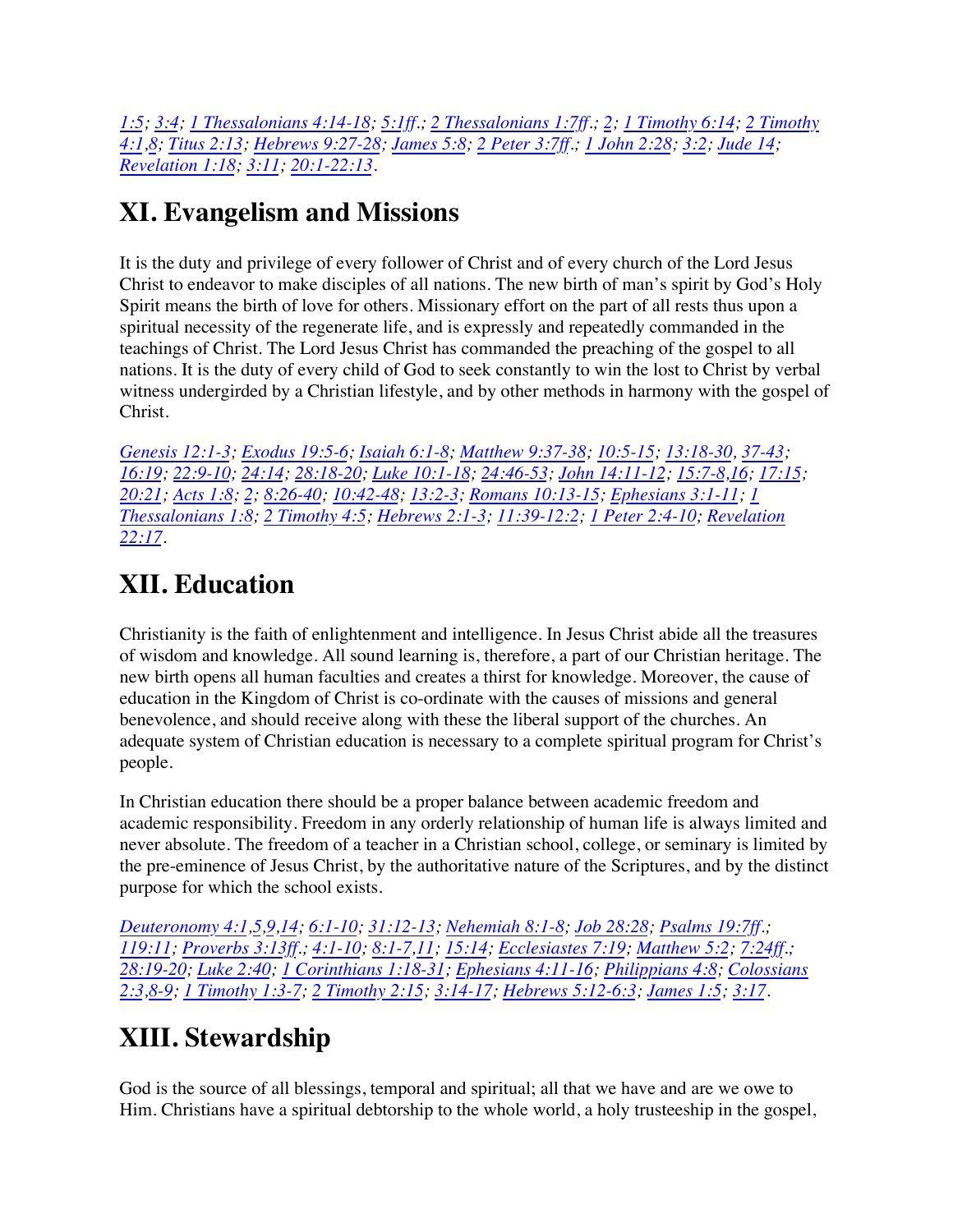*[1:5;](https://biblia.com/bible/csb/Col%201.5) [3:4](https://biblia.com/bible/csb/Colossians%203.4); [1 Thessalonians 4:14-18](https://biblia.com/bible/csb/1%20Thess%204.14-18); [5:1ff](https://biblia.com/bible/csb/1%20Thessalonians%205.1ff).; [2 Thessalonians 1:7ff](https://biblia.com/bible/csb/2%20Thess%201.7ff).; [2;](https://biblia.com/bible/csb/2%20Thessalonians%201.2) [1 Timothy 6:14](https://biblia.com/bible/csb/1%20Tim%206.14); [2 Timothy](https://biblia.com/bible/csb/2%20Tim%204.1)  [4:1](https://biblia.com/bible/csb/2%20Tim%204.1)[,8](https://biblia.com/bible/csb/2%20Timothy%204.8); [Titus 2:13](https://biblia.com/bible/csb/Titus%202.13); [Hebrews 9:27-28;](https://biblia.com/bible/csb/Heb%209.27-28) [James 5:8;](https://biblia.com/bible/csb/James%205.8) [2 Peter 3:7ff.](https://biblia.com/bible/csb/2%20Pet%203.7ff); [1 John 2:28;](https://biblia.com/bible/csb/1%20John%202.28) [3:2](https://biblia.com/bible/csb/1%20John%203.2); [Jude 14](https://biblia.com/bible/csb/Jude%2014); [Revelation 1:18;](https://biblia.com/bible/csb/Rev%201.18) [3:11;](https://biblia.com/bible/csb/Revelation%203.11) [20:1-22:13.](https://biblia.com/bible/csb/Revelation%2020.1-22.13)*

## **XI. Evangelism and Missions**

It is the duty and privilege of every follower of Christ and of every church of the Lord Jesus Christ to endeavor to make disciples of all nations. The new birth of man's spirit by God's Holy Spirit means the birth of love for others. Missionary effort on the part of all rests thus upon a spiritual necessity of the regenerate life, and is expressly and repeatedly commanded in the teachings of Christ. The Lord Jesus Christ has commanded the preaching of the gospel to all nations. It is the duty of every child of God to seek constantly to win the lost to Christ by verbal witness undergirded by a Christian lifestyle, and by other methods in harmony with the gospel of Christ.

*[Genesis 12:1-3](https://biblia.com/bible/csb/Gen%2012.1-3); [Exodus 19:5-6](https://biblia.com/bible/csb/Exod%2019.5-6); [Isaiah 6:1-8;](https://biblia.com/bible/csb/Isa%206.1-8) [Matthew 9:37-38;](https://biblia.com/bible/csb/Matt%209.37-38) [10:5-15;](https://biblia.com/bible/csb/Matthew%2010.5-15) [13:18-30,](https://biblia.com/bible/csb/Matthew%2013.18-30) [37-43](https://biblia.com/bible/csb/Matthew%2013.37-43); [16:19](https://biblia.com/bible/csb/Matthew%2016.19); [22:9-10](https://biblia.com/bible/csb/Matthew%2022.9-10); [24:14;](https://biblia.com/bible/csb/Matthew%2024.14) [28:18-20;](https://biblia.com/bible/csb/Matthew%2028.18-20) [Luke 10:1-18](https://biblia.com/bible/csb/Luke%2010.1-18); [24:46-53](https://biblia.com/bible/csb/Luke%2024.46-53); [John 14:11-12;](https://biblia.com/bible/csb/John%2014.11-12) [15:7-8](https://biblia.com/bible/csb/John%2015.7-8)[,16;](https://biblia.com/bible/csb/John%2015.16) [17:15](https://biblia.com/bible/csb/John%2017.15); [20:21](https://biblia.com/bible/csb/John%2020.21); [Acts 1:8;](https://biblia.com/bible/csb/Acts%201.8) [2;](https://biblia.com/bible/csb/Acts%201.2) [8:26-40;](https://biblia.com/bible/csb/Acts%208.26-40) [10:42-48;](https://biblia.com/bible/csb/Acts%2010.42-48) [13:2-3;](https://biblia.com/bible/csb/Acts%2013.2-3) [Romans 10:13-15;](https://biblia.com/bible/csb/Rom%2010.13-15) [Ephesians 3:1-11;](https://biblia.com/bible/csb/Eph%203.1-11) [1](https://biblia.com/bible/csb/1%20Thess%201.8)  [Thessalonians 1:8;](https://biblia.com/bible/csb/1%20Thess%201.8) [2 Timothy 4:5;](https://biblia.com/bible/csb/2%20Tim%204.5) [Hebrews 2:1-3;](https://biblia.com/bible/csb/Heb%202.1-3) [11:39-12:2](https://biblia.com/bible/csb/Hebrews%2011.39-12.2); [1 Peter 2:4-10;](https://biblia.com/bible/csb/1%20Pet%202.4-10) [Revelation](https://biblia.com/bible/csb/Rev%2022.17)  [22:17](https://biblia.com/bible/csb/Rev%2022.17).*

# **XII. Education**

Christianity is the faith of enlightenment and intelligence. In Jesus Christ abide all the treasures of wisdom and knowledge. All sound learning is, therefore, a part of our Christian heritage. The new birth opens all human faculties and creates a thirst for knowledge. Moreover, the cause of education in the Kingdom of Christ is co-ordinate with the causes of missions and general benevolence, and should receive along with these the liberal support of the churches. An adequate system of Christian education is necessary to a complete spiritual program for Christ's people.

In Christian education there should be a proper balance between academic freedom and academic responsibility. Freedom in any orderly relationship of human life is always limited and never absolute. The freedom of a teacher in a Christian school, college, or seminary is limited by the pre-eminence of Jesus Christ, by the authoritative nature of the Scriptures, and by the distinct purpose for which the school exists.

*[Deuteronomy 4:1](https://biblia.com/bible/csb/Deut%204.1)[,5](https://biblia.com/bible/csb/Deuteronomy%204.5)[,9](https://biblia.com/bible/csb/Deuteronomy%204.9)[,14;](https://biblia.com/bible/csb/Deuteronomy%204.14) [6:1-10;](https://biblia.com/bible/csb/Deuteronomy%206.1-10) [31:12-13;](https://biblia.com/bible/csb/Deuteronomy%2031.12-13) [Nehemiah 8:1-8;](https://biblia.com/bible/csb/Neh%208.1-8) [Job 28:28;](https://biblia.com/bible/csb/Job%2028.28) [Psalms 19:7ff.](https://biblia.com/bible/csb/Ps%2019.7ff); [119:11](https://biblia.com/bible/csb/Psalms%20119.11); [Proverbs 3:13ff](https://biblia.com/bible/csb/Prov%203.13ff).; [4:1-10](https://biblia.com/bible/csb/Proverbs%204.1-10); [8:1-7,](https://biblia.com/bible/csb/Proverbs%208.1-7)[11](https://biblia.com/bible/csb/Proverbs%208.11); [15:14](https://biblia.com/bible/csb/Proverbs%2015.14); [Ecclesiastes 7:19](https://biblia.com/bible/csb/Eccles%207.19); [Matthew 5:2;](https://biblia.com/bible/csb/Matt%205.2) [7:24ff.](https://biblia.com/bible/csb/Matthew%207.24ff); [28:19-20;](https://biblia.com/bible/csb/Matthew%2028.19-20) [Luke 2:40](https://biblia.com/bible/csb/Luke%202.40); [1 Corinthians 1:18-31](https://biblia.com/bible/csb/1%20Cor%201.18-31); [Ephesians 4:11-16](https://biblia.com/bible/csb/Eph%204.11-16); [Philippians 4:8;](https://biblia.com/bible/csb/Phil%204.8) [Colossians](https://biblia.com/bible/csb/Col%202.3)  [2:3](https://biblia.com/bible/csb/Col%202.3)[,8-9](https://biblia.com/bible/csb/Colossians%202.8-9); [1 Timothy 1:3-7;](https://biblia.com/bible/csb/1%20Tim%201.3-7) [2 Timothy 2:15](https://biblia.com/bible/csb/2%20Tim%202.15); [3:14-17](https://biblia.com/bible/csb/2%20Timothy%203.14-17); [Hebrews 5:12-6:3](https://biblia.com/bible/csb/Heb%205.12-6.3); [James 1:5;](https://biblia.com/bible/csb/James%201.5) [3:17](https://biblia.com/bible/csb/James%203.17).*

# **XIII. Stewardship**

God is the source of all blessings, temporal and spiritual; all that we have and are we owe to Him. Christians have a spiritual debtorship to the whole world, a holy trusteeship in the gospel,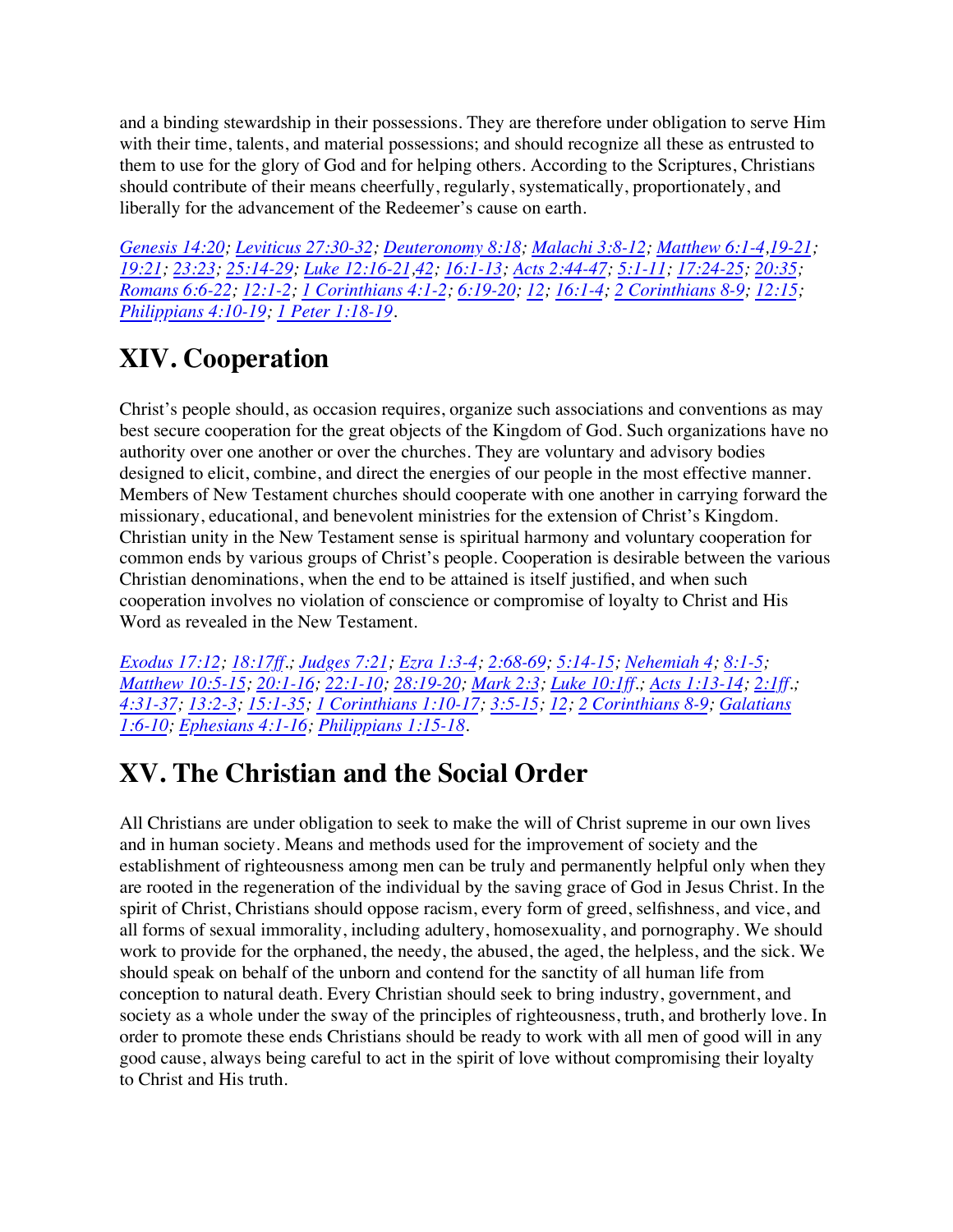and a binding stewardship in their possessions. They are therefore under obligation to serve Him with their time, talents, and material possessions; and should recognize all these as entrusted to them to use for the glory of God and for helping others. According to the Scriptures, Christians should contribute of their means cheerfully, regularly, systematically, proportionately, and liberally for the advancement of the Redeemer's cause on earth.

*[Genesis 14:20](https://biblia.com/bible/csb/Gen%2014.20); [Leviticus 27:30-32;](https://biblia.com/bible/csb/Lev%2027.30-32) [Deuteronomy 8:18;](https://biblia.com/bible/csb/Deut%208.18) [Malachi 3:8-12](https://biblia.com/bible/csb/Mal%203.8-12); [Matthew 6:1-4,](https://biblia.com/bible/csb/Matt%206.1-4)[19-21;](https://biblia.com/bible/csb/Matthew%206.19-21) [19:21](https://biblia.com/bible/csb/Matthew%2019.21); [23:23;](https://biblia.com/bible/csb/Matthew%2023.23) [25:14-29](https://biblia.com/bible/csb/Matthew%2025.14-29); [Luke 12:16-21](https://biblia.com/bible/csb/Luke%2012.16-21)[,42;](https://biblia.com/bible/csb/Luke%2012.42) [16:1-13;](https://biblia.com/bible/csb/Luke%2016.1-13) [Acts 2:44-47](https://biblia.com/bible/csb/Acts%202.44-47); [5:1-11](https://biblia.com/bible/csb/Acts%205.1-11); [17:24-25](https://biblia.com/bible/csb/Acts%2017.24-25); [20:35](https://biblia.com/bible/csb/Acts%2020.35); [Romans 6:6-22](https://biblia.com/bible/csb/Rom%206.6-22); [12:1-2](https://biblia.com/bible/csb/Romans%2012.1-2); [1 Corinthians 4:1-2](https://biblia.com/bible/csb/1%20Cor%204.1-2); [6:19-20](https://biblia.com/bible/csb/1%20Corinthians%206.19-20); [12](https://biblia.com/bible/csb/1%20Corinthians%206.12); [16:1-4](https://biblia.com/bible/csb/1%20Corinthians%2016.1-4); [2 Corinthians 8-9;](https://biblia.com/bible/csb/2%20Cor%208-9) [12:15;](https://biblia.com/bible/csb/2%20Corinthians%2012.15) [Philippians 4:10-19](https://biblia.com/bible/csb/Phil%204.10-19); [1 Peter 1:18-19](https://biblia.com/bible/csb/1%20Pet%201.18-19).* 

# **XIV. Cooperation**

Christ's people should, as occasion requires, organize such associations and conventions as may best secure cooperation for the great objects of the Kingdom of God. Such organizations have no authority over one another or over the churches. They are voluntary and advisory bodies designed to elicit, combine, and direct the energies of our people in the most effective manner. Members of New Testament churches should cooperate with one another in carrying forward the missionary, educational, and benevolent ministries for the extension of Christ's Kingdom. Christian unity in the New Testament sense is spiritual harmony and voluntary cooperation for common ends by various groups of Christ's people. Cooperation is desirable between the various Christian denominations, when the end to be attained is itself justified, and when such cooperation involves no violation of conscience or compromise of loyalty to Christ and His Word as revealed in the New Testament.

*[Exodus 17:12;](https://biblia.com/bible/csb/Exod%2017.12) [18:17ff.](https://biblia.com/bible/csb/Exodus%2018.17ff); [Judges 7:21;](https://biblia.com/bible/csb/Judg%207.21) [Ezra 1:3-4;](https://biblia.com/bible/csb/Ezra%201.3-4) [2:68-69;](https://biblia.com/bible/csb/Ezra%202.68-69) [5:14-15](https://biblia.com/bible/csb/Ezra%205.14-15); [Nehemiah 4](https://biblia.com/bible/csb/Neh%204); [8:1-5;](https://biblia.com/bible/csb/Nehemiah%208.1-5) [Matthew 10:5-15](https://biblia.com/bible/csb/Matt%2010.5-15); [20:1-16](https://biblia.com/bible/csb/Matthew%2020.1-16); [22:1-10](https://biblia.com/bible/csb/Matthew%2022.1-10); [28:19-20](https://biblia.com/bible/csb/Matthew%2028.19-20); [Mark 2:3](https://biblia.com/bible/csb/Mark%202.3); [Luke 10:1ff.](https://biblia.com/bible/csb/Luke%2010.1ff); [Acts 1:13-14;](https://biblia.com/bible/csb/Acts%201.13-14) [2:1ff.](https://biblia.com/bible/csb/Acts%202.1ff); [4:31-37](https://biblia.com/bible/csb/Acts%204.31-37); [13:2-3](https://biblia.com/bible/csb/Acts%2013.2-3); [15:1-35](https://biblia.com/bible/csb/Acts%2015.1-35); [1 Corinthians 1:10-17](https://biblia.com/bible/csb/1%20Cor%201.10-17); [3:5-15](https://biblia.com/bible/csb/1%20Corinthians%203.5-15); [12](https://biblia.com/bible/csb/1%20Corinthians%203.12); [2 Corinthians 8-9](https://biblia.com/bible/csb/2%20Cor%208-9); [Galatians](https://biblia.com/bible/csb/Gal%201.6-10)  [1:6-10](https://biblia.com/bible/csb/Gal%201.6-10); [Ephesians 4:1-16;](https://biblia.com/bible/csb/Eph%204.1-16) [Philippians 1:15-18.](https://biblia.com/bible/csb/Phil%201.15-18)* 

#### **XV. The Christian and the Social Order**

All Christians are under obligation to seek to make the will of Christ supreme in our own lives and in human society. Means and methods used for the improvement of society and the establishment of righteousness among men can be truly and permanently helpful only when they are rooted in the regeneration of the individual by the saving grace of God in Jesus Christ. In the spirit of Christ, Christians should oppose racism, every form of greed, selfishness, and vice, and all forms of sexual immorality, including adultery, homosexuality, and pornography. We should work to provide for the orphaned, the needy, the abused, the aged, the helpless, and the sick. We should speak on behalf of the unborn and contend for the sanctity of all human life from conception to natural death. Every Christian should seek to bring industry, government, and society as a whole under the sway of the principles of righteousness, truth, and brotherly love. In order to promote these ends Christians should be ready to work with all men of good will in any good cause, always being careful to act in the spirit of love without compromising their loyalty to Christ and His truth.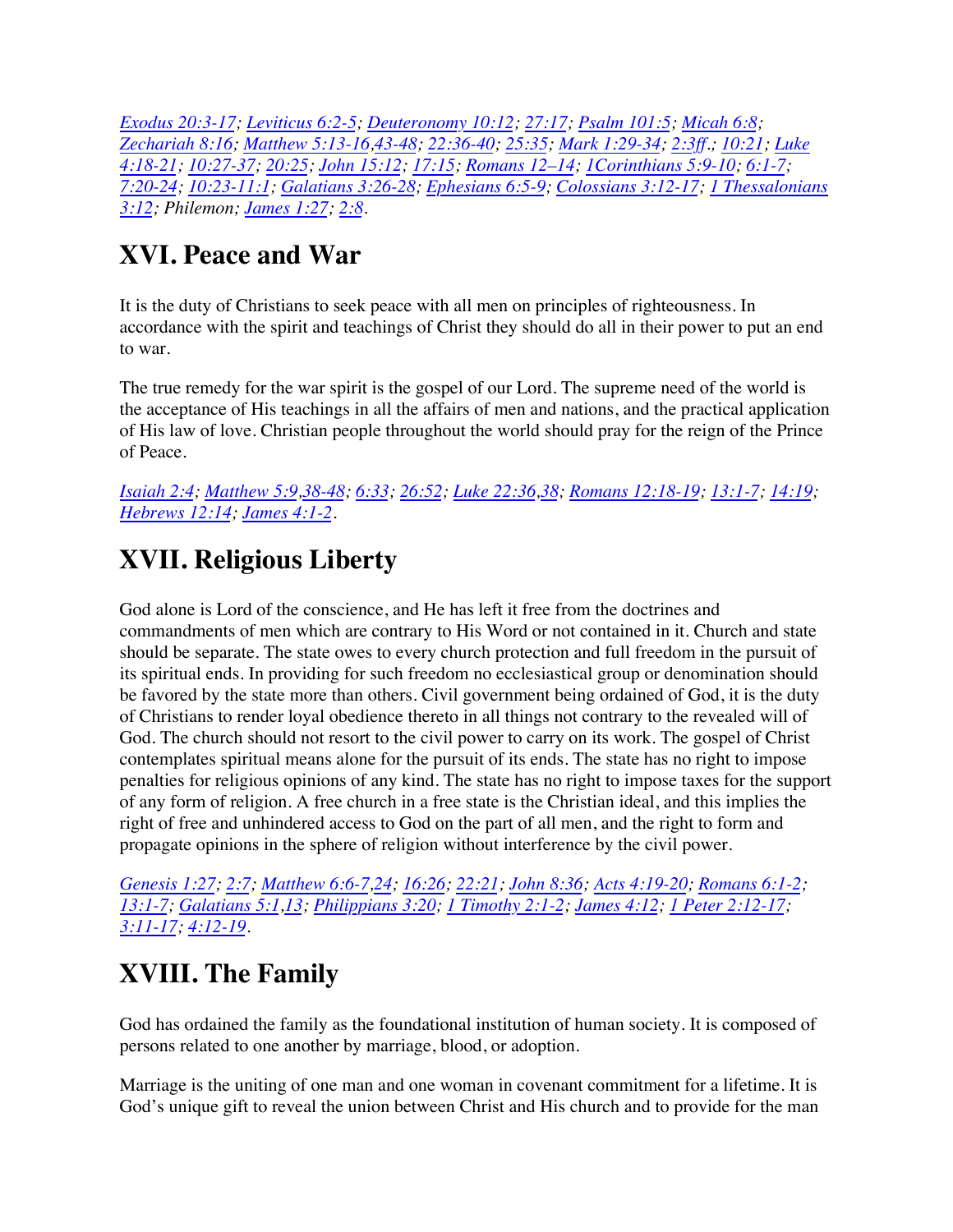*[Exodus 20:3-17;](https://biblia.com/bible/csb/Exod%2020.3-17) [Leviticus 6:2-5](https://biblia.com/bible/csb/Lev%206.2-5); [Deuteronomy 10:12](https://biblia.com/bible/csb/Deut%2010.12); [27:17;](https://biblia.com/bible/csb/Deuteronomy%2027.17) [Psalm 101:5](https://biblia.com/bible/csb/Ps%20101.5); [Micah 6:8;](https://biblia.com/bible/csb/Micah%206.8) [Zechariah 8:16;](https://biblia.com/bible/csb/Zech%208.16) [Matthew 5:13-16,](https://biblia.com/bible/csb/Matt%205.13-16)[43-48](https://biblia.com/bible/csb/Matthew%205.43-48); [22:36-40](https://biblia.com/bible/csb/Matthew%2022.36-40); [25:35](https://biblia.com/bible/csb/Matthew%2025.35); [Mark 1:29-34;](https://biblia.com/bible/csb/Mark%201.29-34) [2:3ff.](https://biblia.com/bible/csb/Mark%202.3ff); [10:21;](https://biblia.com/bible/csb/Mark%2010.21) [Luke](https://biblia.com/bible/csb/Luke%204.18-21)  [4:18-21](https://biblia.com/bible/csb/Luke%204.18-21); [10:27-37](https://biblia.com/bible/csb/Luke%2010.27-37); [20:25](https://biblia.com/bible/csb/Luke%2020.25); [John 15:12](https://biblia.com/bible/csb/John%2015.12); [17:15;](https://biblia.com/bible/csb/John%2017.15) [Romans 12–14;](https://biblia.com/bible/csb/Rom%2012%E2%80%9314) [1Corinthians 5:9-10;](https://biblia.com/bible/csb/1%20Cor%205.9-10) [6:1-7](https://biblia.com/bible/csb/1Corinthians%206.1-7); [7:20-24](https://biblia.com/bible/csb/1Corinthians%207.20-24); [10:23-11:1;](https://biblia.com/bible/csb/1Corinthians%2010.23-11.1) [Galatians 3:26-28](https://biblia.com/bible/csb/Gal%203.26-28); [Ephesians 6:5-9;](https://biblia.com/bible/csb/Eph%206.5-9) [Colossians 3:12-17](https://biblia.com/bible/csb/Col%203.12-17); [1 Thessalonians](https://biblia.com/bible/csb/1%20Thess%203.12)  [3:12](https://biblia.com/bible/csb/1%20Thess%203.12); Philemon; [James 1:27;](https://biblia.com/bible/csb/James%201.27) [2:8.](https://biblia.com/bible/csb/James%202.8)*

# **XVI. Peace and War**

It is the duty of Christians to seek peace with all men on principles of righteousness. In accordance with the spirit and teachings of Christ they should do all in their power to put an end to war.

The true remedy for the war spirit is the gospel of our Lord. The supreme need of the world is the acceptance of His teachings in all the affairs of men and nations, and the practical application of His law of love. Christian people throughout the world should pray for the reign of the Prince of Peace.

*[Isaiah 2:4;](https://biblia.com/bible/csb/Isa%202.4) [Matthew 5:9](https://biblia.com/bible/csb/Matt%205.9)[,38-48;](https://biblia.com/bible/csb/Matthew%205.38-48) [6:33](https://biblia.com/bible/csb/Matthew%206.33); [26:52](https://biblia.com/bible/csb/Matthew%2026.52); [Luke 22:36](https://biblia.com/bible/csb/Luke%2022.36)[,38](https://biblia.com/bible/csb/Luke%2022.38); [Romans 12:18-19;](https://biblia.com/bible/csb/Rom%2012.18-19) [13:1-7](https://biblia.com/bible/csb/Romans%2013.1-7); [14:19](https://biblia.com/bible/csb/Romans%2014.19); [Hebrews 12:14](https://biblia.com/bible/csb/Heb%2012.14); [James 4:1-2.](https://biblia.com/bible/csb/James%204.1-2)*

# **XVII. Religious Liberty**

God alone is Lord of the conscience, and He has left it free from the doctrines and commandments of men which are contrary to His Word or not contained in it. Church and state should be separate. The state owes to every church protection and full freedom in the pursuit of its spiritual ends. In providing for such freedom no ecclesiastical group or denomination should be favored by the state more than others. Civil government being ordained of God, it is the duty of Christians to render loyal obedience thereto in all things not contrary to the revealed will of God. The church should not resort to the civil power to carry on its work. The gospel of Christ contemplates spiritual means alone for the pursuit of its ends. The state has no right to impose penalties for religious opinions of any kind. The state has no right to impose taxes for the support of any form of religion. A free church in a free state is the Christian ideal, and this implies the right of free and unhindered access to God on the part of all men, and the right to form and propagate opinions in the sphere of religion without interference by the civil power.

*[Genesis 1:27;](https://biblia.com/bible/csb/Gen%201.27) [2:7](https://biblia.com/bible/csb/Genesis%202.7); [Matthew 6:6-7](https://biblia.com/bible/csb/Matt%206.6-7)[,24](https://biblia.com/bible/csb/Matthew%206.24); [16:26](https://biblia.com/bible/csb/Matthew%2016.26); [22:21;](https://biblia.com/bible/csb/Matthew%2022.21) [John 8:36;](https://biblia.com/bible/csb/John%208.36) [Acts 4:19-20](https://biblia.com/bible/csb/Acts%204.19-20); [Romans 6:1-2](https://biblia.com/bible/csb/Rom%206.1-2); [13:1-7](https://biblia.com/bible/csb/Romans%2013.1-7); [Galatians 5:1](https://biblia.com/bible/csb/Gal%205.1),[13;](https://biblia.com/bible/csb/Galatians%205.13) [Philippians 3:20](https://biblia.com/bible/csb/Phil%203.20); [1 Timothy 2:1-2;](https://biblia.com/bible/csb/1%20Tim%202.1-2) [James 4:12](https://biblia.com/bible/csb/James%204.12); [1 Peter 2:12-17;](https://biblia.com/bible/csb/1%20Pet%202.12-17) [3:11-17](https://biblia.com/bible/csb/1%20Peter%203.11-17); [4:12-19](https://biblia.com/bible/csb/1%20Peter%204.12-19).*

## **XVIII. The Family**

God has ordained the family as the foundational institution of human society. It is composed of persons related to one another by marriage, blood, or adoption.

Marriage is the uniting of one man and one woman in covenant commitment for a lifetime. It is God's unique gift to reveal the union between Christ and His church and to provide for the man